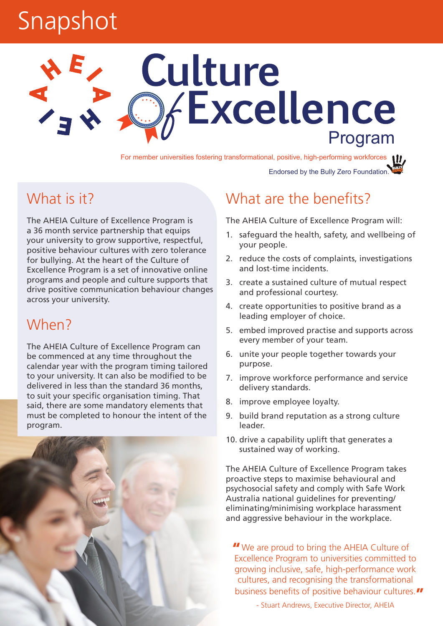## Snapshot

# Culture **Excellence**

For member universities fostering transformational, positive, high-performing workforces

Endorsed by the Bully Zero Foundation.

### What is it?

The AHEIA Culture of Excellence Program is a 36 month service partnership that equips your university to grow supportive, respectful, positive behaviour cultures with zero tolerance for bullying. At the heart of the Culture of Excellence Program is a set of innovative online programs and people and culture supports that drive positive communication behaviour changes across your university.

#### When?

The AHEIA Culture of Excellence Program can be commenced at any time throughout the calendar year with the program timing tailored to your university. It can also be modified to be delivered in less than the standard 36 months, to suit your specific organisation timing. That said, there are some mandatory elements that must be completed to honour the intent of the program.



### What are the benefits?

The AHEIA Culture of Excellence Program will:

- 1. safeguard the health, safety, and wellbeing of your people.
- 2. reduce the costs of complaints, investigations and lost-time incidents.
- 3. create a sustained culture of mutual respect and professional courtesy.
- 4. create opportunities to positive brand as a leading employer of choice.
- 5. embed improved practise and supports across every member of your team.
- 6. unite your people together towards your purpose.
- 7. improve workforce performance and service delivery standards.
- 8. improve employee loyalty.
- 9. build brand reputation as a strong culture leader.
- 10. drive a capability uplift that generates a sustained way of working.

The AHEIA Culture of Excellence Program takes proactive steps to maximise behavioural and psychosocial safety and comply with Safe Work Australia national guidelines for preventing/ eliminating/minimising workplace harassment and aggressive behaviour in the workplace.

We are proud to bring the AHEIA Culture of **"**Excellence Program to universities committed to growing inclusive, safe, high-performance work cultures, and recognising the transformational business benefits of positive behaviour cultures. **"**

- Stuart Andrews, Executive Director, AHEIA